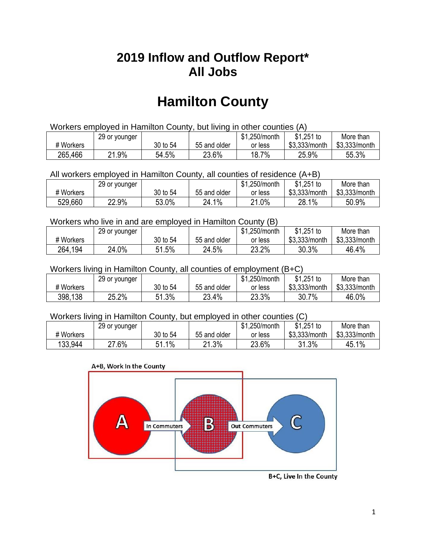## **2019 Inflow and Outflow Report\* All Jobs**

# **Hamilton County**

| Workers employed in Hamilton County, but living in other counties (A) |                                                           |          |              |         |               |               |  |  |  |
|-----------------------------------------------------------------------|-----------------------------------------------------------|----------|--------------|---------|---------------|---------------|--|--|--|
|                                                                       | \$1.251 to<br>\$1.250/month<br>More than<br>29 or younger |          |              |         |               |               |  |  |  |
| # Workers                                                             |                                                           | 30 to 54 | 55 and older | or less | \$3.333/month | \$3,333/month |  |  |  |
| 265,466                                                               | 21.9%                                                     | 54.5%    | 23.6%        | 18.7%   | 25.9%         | 55.3%         |  |  |  |

All workers employed in Hamilton County, all counties of residence (A+B)

|           | 29 or younger |          |              | \$1,250/month | $$1,251$ to   | More than     |
|-----------|---------------|----------|--------------|---------------|---------------|---------------|
| # Workers |               | 30 to 54 | 55 and older | or less       | \$3,333/month | \$3,333/month |
| 529,660   | 22.9%         | 53.0%    | 24.1%        | 21.0%         | 28.1%         | 50.9%         |

#### Workers who live in and are employed in Hamilton County (B)

|           | 29 or younger |          |              | \$1,250/month | $$1,251$ to   | More than     |
|-----------|---------------|----------|--------------|---------------|---------------|---------------|
| # Workers |               | 30 to 54 | 55 and older | or less       | \$3,333/month | \$3,333/month |
| 264,194   | 24.0%         | 51.5%    | 24.5%        | 23.2%         | 30.3%         | 46.4%         |

#### Workers living in Hamilton County, all counties of employment (B+C)

|           | 29 or younger |              |              | \$1,250/month | \$1,251 to    | More than     |
|-----------|---------------|--------------|--------------|---------------|---------------|---------------|
| # Workers |               | 30 to 54     | 55 and older | or less       | \$3,333/month | \$3,333/month |
| 398,138   | 25.2%         | 1.3%<br>C 4. | 23.4%        | 23.3%         | 30.7%         | 46.0%         |

#### Workers living in Hamilton County, but employed in other counties (C)

|           | 29 or younger |              |              | \$1,250/month | $$1,251$ to   | More than     |
|-----------|---------------|--------------|--------------|---------------|---------------|---------------|
| # Workers |               | 30 to 54     | 55 and older | or less       | \$3,333/month | \$3,333/month |
| 133,944   | $27.6\%$      | $1\%$<br>E 1 | 21.3%        | 23.6%         | 31.3%         | 45.1%         |





B+C, Live In the County